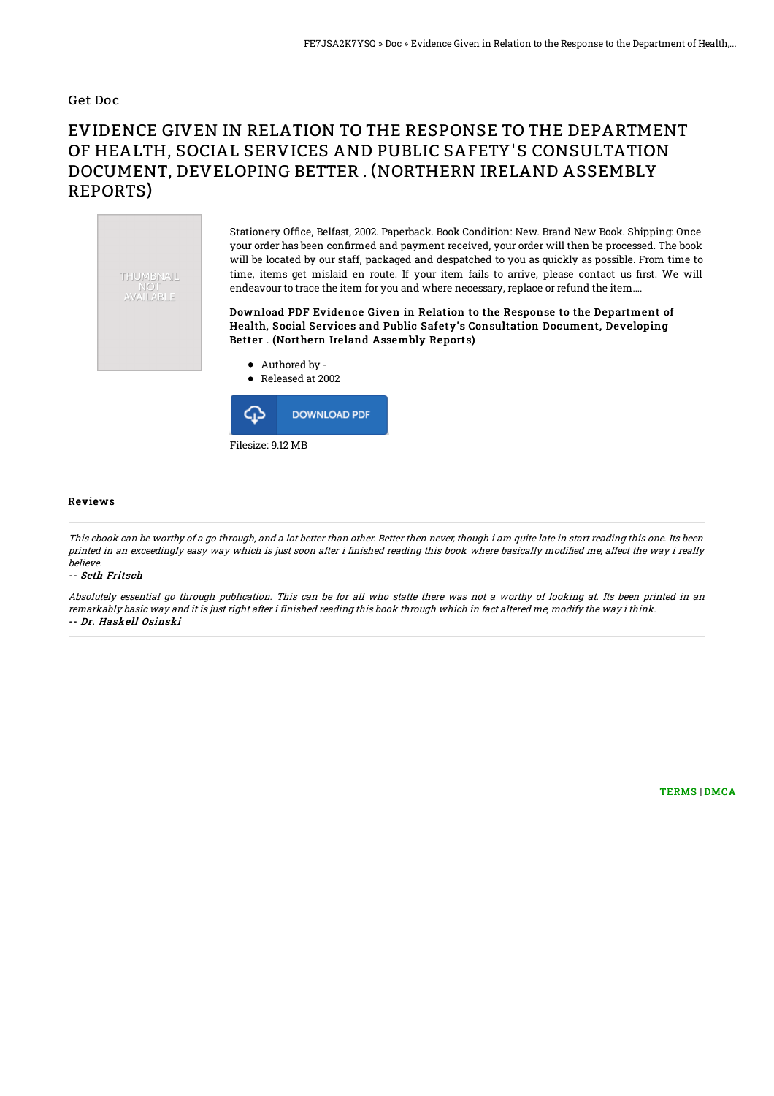### Get Doc

# EVIDENCE GIVEN IN RELATION TO THE RESPONSE TO THE DEPARTMENT OF HEALTH, SOCIAL SERVICES AND PUBLIC SAFETY'S CONSULTATION DOCUMENT, DEVELOPING BETTER . (NORTHERN IRELAND ASSEMBLY REPORTS)



Stationery Office, Belfast, 2002. Paperback. Book Condition: New. Brand New Book. Shipping: Once your order has been confirmed and payment received, your order will then be processed. The book will be located by our staff, packaged and despatched to you as quickly as possible. From time to time, items get mislaid en route. If your item fails to arrive, please contact us first. We will endeavour to trace the item for you and where necessary, replace or refund the item....

Download PDF Evidence Given in Relation to the Response to the Department of Health, Social Services and Public Safety's Consultation Document, Developing Better . (Northern Ireland Assembly Reports)

Authored by -





#### Reviews

This ebook can be worthy of <sup>a</sup> go through, and <sup>a</sup> lot better than other. Better then never, though i am quite late in start reading this one. Its been printed in an exceedingly easy way which is just soon after i finished reading this book where basically modified me, affect the way i really believe.

#### -- Seth Fritsch

Absolutely essential go through publication. This can be for all who statte there was not <sup>a</sup> worthy of looking at. Its been printed in an remarkably basic way and it is just right after i finished reading this book through which in fact altered me, modify the way i think. -- Dr. Haskell Osinski